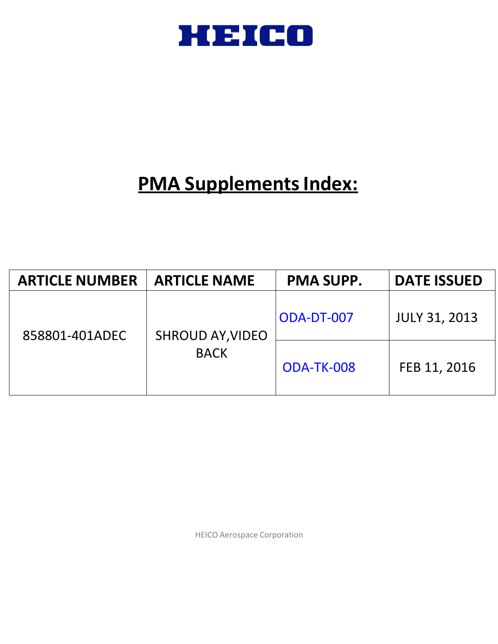

# **PMA Supplements Index:**

| <b>ARTICLE NUMBER</b> | <b>ARTICLE NAME</b>     | <b>PMA SUPP.</b> | <b>DATE ISSUED</b>   |
|-----------------------|-------------------------|------------------|----------------------|
| 858801-401ADEC        | <b>SHROUD AY, VIDEO</b> | ODA-DT-007       | <b>JULY 31, 2013</b> |
|                       | <b>BACK</b>             | ODA-TK-008       | FEB 11, 2016         |

HEICO Aerospace Corporation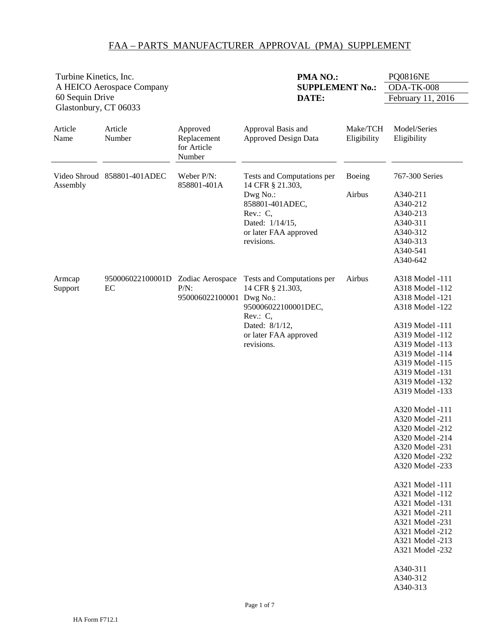<span id="page-1-0"></span>

| Turbine Kinetics, Inc.                   |                             |                                                  | <b>PMA NO.:</b>                                                                                                                                        | <b>PQ0816NE</b>         |                                                                                                                                                                                                                                                                                                                                                                                                                                                                                                                               |
|------------------------------------------|-----------------------------|--------------------------------------------------|--------------------------------------------------------------------------------------------------------------------------------------------------------|-------------------------|-------------------------------------------------------------------------------------------------------------------------------------------------------------------------------------------------------------------------------------------------------------------------------------------------------------------------------------------------------------------------------------------------------------------------------------------------------------------------------------------------------------------------------|
|                                          | A HEICO Aerospace Company   |                                                  | <b>SUPPLEMENT No.:</b>                                                                                                                                 |                         | ODA-TK-008                                                                                                                                                                                                                                                                                                                                                                                                                                                                                                                    |
| 60 Sequin Drive<br>Glastonbury, CT 06033 |                             |                                                  | DATE:                                                                                                                                                  |                         | February 11, 2016                                                                                                                                                                                                                                                                                                                                                                                                                                                                                                             |
| Article<br>Name                          | Article<br>Number           | Approved<br>Replacement<br>for Article<br>Number | Approval Basis and<br><b>Approved Design Data</b>                                                                                                      | Make/TCH<br>Eligibility | Model/Series<br>Eligibility                                                                                                                                                                                                                                                                                                                                                                                                                                                                                                   |
| Assembly                                 | Video Shroud 858801-401ADEC | Weber P/N:<br>858801-401A                        | Tests and Computations per<br>14 CFR § 21.303,                                                                                                         | Boeing                  | 767-300 Series                                                                                                                                                                                                                                                                                                                                                                                                                                                                                                                |
|                                          |                             |                                                  | Dwg No.:<br>858801-401ADEC,<br>Rev.: $C$ ,<br>Dated: 1/14/15,<br>or later FAA approved<br>revisions.                                                   | Airbus                  | A340-211<br>A340-212<br>A340-213<br>A340-311<br>A340-312<br>A340-313<br>A340-541<br>A340-642                                                                                                                                                                                                                                                                                                                                                                                                                                  |
| Armcap<br>Support                        | 950006022100001D<br>EC      | Zodiac Aerospace<br>$P/N$ :<br>950006022100001   | Tests and Computations per<br>14 CFR § 21.303,<br>Dwg No.:<br>950006022100001DEC,<br>Rev.: C,<br>Dated: 8/1/12,<br>or later FAA approved<br>revisions. | Airbus                  | A318 Model -111<br>A318 Model -112<br>A318 Model -121<br>A318 Model -122<br>A319 Model -111<br>A319 Model -112<br>A319 Model -113<br>A319 Model -114<br>A319 Model -115<br>A319 Model -131<br>A319 Model -132<br>A319 Model -133<br>A320 Model -111<br>A320 Model -211<br>A320 Model -212<br>A320 Model -214<br>A320 Model -231<br>A320 Model -232<br>A320 Model -233<br>A321 Model -111<br>A321 Model -112<br>A321 Model -131<br>A321 Model -211<br>A321 Model -231<br>A321 Model -212<br>A321 Model -213<br>A321 Model -232 |
|                                          |                             |                                                  |                                                                                                                                                        |                         | A340-311<br>A340-312<br>A340-313                                                                                                                                                                                                                                                                                                                                                                                                                                                                                              |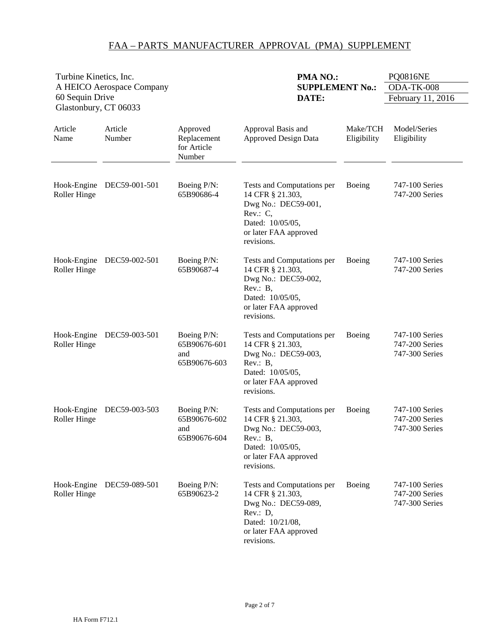| Turbine Kinetics, Inc.<br>A HEICO Aerospace Company<br>60 Sequin Drive |                           |                                                    | PMA NO.:<br><b>SUPPLEMENT No.:</b><br>DATE:                                                                                                  |                         | <b>PQ0816NE</b><br>ODA-TK-008<br>February 11, 2016 |
|------------------------------------------------------------------------|---------------------------|----------------------------------------------------|----------------------------------------------------------------------------------------------------------------------------------------------|-------------------------|----------------------------------------------------|
| Glastonbury, CT 06033                                                  |                           |                                                    |                                                                                                                                              |                         |                                                    |
| Article<br>Name                                                        | Article<br>Number         | Approved<br>Replacement<br>for Article<br>Number   | Approval Basis and<br><b>Approved Design Data</b>                                                                                            | Make/TCH<br>Eligibility | Model/Series<br>Eligibility                        |
| Roller Hinge                                                           | Hook-Engine DEC59-001-501 | Boeing P/N:<br>65B90686-4                          | Tests and Computations per<br>14 CFR § 21.303,<br>Dwg No.: DEC59-001,<br>Rev.: C,<br>Dated: 10/05/05,<br>or later FAA approved<br>revisions. | Boeing                  | 747-100 Series<br>747-200 Series                   |
| Hook-Engine<br>Roller Hinge                                            | DEC59-002-501             | Boeing P/N:<br>65B90687-4                          | Tests and Computations per<br>14 CFR § 21.303,<br>Dwg No.: DEC59-002,<br>Rev.: B,<br>Dated: 10/05/05,<br>or later FAA approved<br>revisions. | Boeing                  | 747-100 Series<br>747-200 Series                   |
| Hook-Engine<br>Roller Hinge                                            | DEC59-003-501             | Boeing P/N:<br>65B90676-601<br>and<br>65B90676-603 | Tests and Computations per<br>14 CFR § 21.303,<br>Dwg No.: DEC59-003,<br>Rev.: B,<br>Dated: 10/05/05,<br>or later FAA approved<br>revisions. | Boeing                  | 747-100 Series<br>747-200 Series<br>747-300 Series |
| Hook-Engine<br>Roller Hinge                                            | DEC59-003-503             | Boeing P/N:<br>65B90676-602<br>and<br>65B90676-604 | Tests and Computations per<br>14 CFR § 21.303,<br>Dwg No.: DEC59-003,<br>Rev.: B,<br>Dated: 10/05/05,<br>or later FAA approved<br>revisions. | Boeing                  | 747-100 Series<br>747-200 Series<br>747-300 Series |
| Hook-Engine<br>Roller Hinge                                            | DEC59-089-501             | Boeing P/N:<br>65B90623-2                          | Tests and Computations per<br>14 CFR § 21.303,<br>Dwg No.: DEC59-089,<br>Rev.: D,<br>Dated: 10/21/08,<br>or later FAA approved<br>revisions. | Boeing                  | 747-100 Series<br>747-200 Series<br>747-300 Series |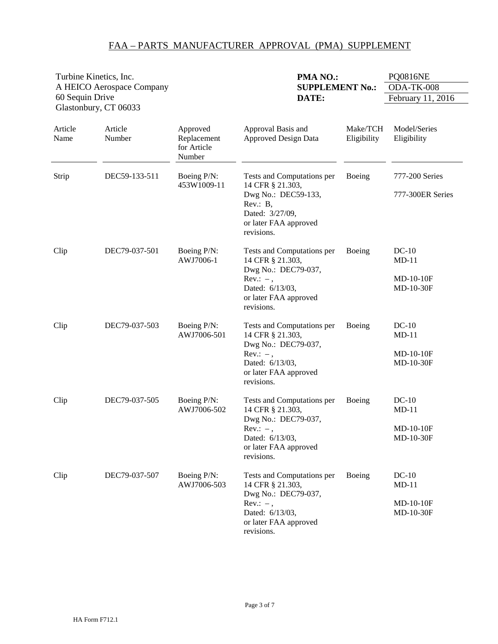|                 | PMA NO.:<br>Turbine Kinetics, Inc.         |                                                  |                                                                                                                                                | <b>PQ0816NE</b>         |                                                  |  |
|-----------------|--------------------------------------------|--------------------------------------------------|------------------------------------------------------------------------------------------------------------------------------------------------|-------------------------|--------------------------------------------------|--|
|                 | A HEICO Aerospace Company                  |                                                  | <b>SUPPLEMENT No.:</b>                                                                                                                         |                         | ODA-TK-008                                       |  |
| 60 Sequin Drive |                                            |                                                  | DATE:                                                                                                                                          |                         | February 11, 2016                                |  |
| Article<br>Name | Glastonbury, CT 06033<br>Article<br>Number | Approved<br>Replacement<br>for Article<br>Number | Approval Basis and<br><b>Approved Design Data</b>                                                                                              | Make/TCH<br>Eligibility | Model/Series<br>Eligibility                      |  |
| Strip           | DEC59-133-511                              | Boeing P/N:<br>453W1009-11                       | Tests and Computations per<br>14 CFR § 21.303,<br>Dwg No.: DEC59-133,<br>Rev.: B,<br>Dated: 3/27/09,<br>or later FAA approved<br>revisions.    | Boeing                  | 777-200 Series<br>777-300ER Series               |  |
| Clip            | DEC79-037-501                              | Boeing P/N:<br>AWJ7006-1                         | Tests and Computations per<br>14 CFR § 21.303,<br>Dwg No.: DEC79-037,<br>$Rev.: -$ ,<br>Dated: 6/13/03,<br>or later FAA approved<br>revisions. | Boeing                  | $DC-10$<br>$MD-11$<br>$MD-10-10F$<br>MD-10-30F   |  |
| Clip            | DEC79-037-503                              | Boeing P/N:<br>AWJ7006-501                       | Tests and Computations per<br>14 CFR § 21.303,<br>Dwg No.: DEC79-037,<br>$Rev.: -$ ,<br>Dated: 6/13/03,<br>or later FAA approved<br>revisions. | Boeing                  | $DC-10$<br>$MD-11$<br>MD-10-10F<br>MD-10-30F     |  |
| Clip            | DEC79-037-505                              | Boeing P/N:<br>AWJ7006-502                       | Tests and Computations per<br>14 CFR § 21.303,<br>Dwg No.: DEC79-037,<br>$Rev: -$ .<br>Dated: 6/13/03,<br>or later FAA approved<br>revisions.  | Boeing                  | $DC-10$<br>$MD-11$<br>$MD-10-10F$<br>$MD-10-30F$ |  |
| Clip            | DEC79-037-507                              | Boeing P/N:<br>AWJ7006-503                       | Tests and Computations per<br>14 CFR § 21.303,<br>Dwg No.: DEC79-037,<br>$Rev.: -$ ,<br>Dated: 6/13/03,<br>or later FAA approved<br>revisions. | Boeing                  | $DC-10$<br>$MD-11$<br>MD-10-10F<br>MD-10-30F     |  |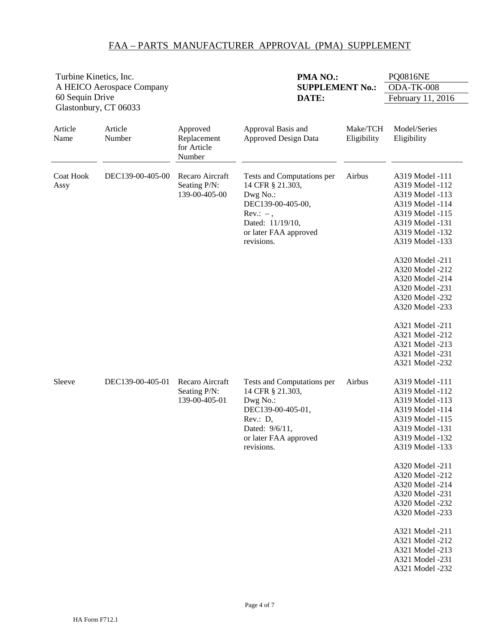| Turbine Kinetics, Inc. |                           |                                                  | PMA NO.:                                                                                                                                                  |                         | <b>PQ0816NE</b>                                                                                                                                                                                                                                                                                                                                                       |
|------------------------|---------------------------|--------------------------------------------------|-----------------------------------------------------------------------------------------------------------------------------------------------------------|-------------------------|-----------------------------------------------------------------------------------------------------------------------------------------------------------------------------------------------------------------------------------------------------------------------------------------------------------------------------------------------------------------------|
|                        | A HEICO Aerospace Company |                                                  | <b>SUPPLEMENT No.:</b>                                                                                                                                    |                         | ODA-TK-008                                                                                                                                                                                                                                                                                                                                                            |
| 60 Sequin Drive        | Glastonbury, CT 06033     |                                                  | DATE:                                                                                                                                                     |                         | February 11, 2016                                                                                                                                                                                                                                                                                                                                                     |
| Article<br>Name        | Article<br>Number         | Approved<br>Replacement<br>for Article<br>Number | Approval Basis and<br><b>Approved Design Data</b>                                                                                                         | Make/TCH<br>Eligibility | Model/Series<br>Eligibility                                                                                                                                                                                                                                                                                                                                           |
| Coat Hook<br>Assy      | DEC139-00-405-00          | Recaro Aircraft<br>Seating P/N:<br>139-00-405-00 | Tests and Computations per<br>14 CFR § 21.303,<br>Dwg No.:<br>DEC139-00-405-00,<br>$Rev.: -$ ,<br>Dated: 11/19/10,<br>or later FAA approved<br>revisions. | Airbus                  | A319 Model -111<br>A319 Model -112<br>A319 Model -113<br>A319 Model -114<br>A319 Model -115<br>A319 Model -131<br>A319 Model -132<br>A319 Model -133<br>A320 Model -211<br>A320 Model -212<br>A320 Model -214<br>A320 Model -231<br>A320 Model -232<br>A320 Model -233<br>A321 Model -211<br>A321 Model -212<br>A321 Model -213<br>A321 Model -231<br>A321 Model -232 |
| Sleeve                 | DEC139-00-405-01          | Recaro Aircraft<br>Seating P/N:<br>139-00-405-01 | Tests and Computations per<br>14 CFR § 21.303,<br>Dwg No.:<br>DEC139-00-405-01,<br>Rev.: D,<br>Dated: 9/6/11,<br>or later FAA approved<br>revisions.      | Airbus                  | A319 Model -111<br>A319 Model -112<br>A319 Model -113<br>A319 Model -114<br>A319 Model -115<br>A319 Model -131<br>A319 Model -132<br>A319 Model -133<br>A320 Model -211<br>A320 Model -212<br>A320 Model -214<br>A320 Model -231<br>A320 Model -232<br>A320 Model -233<br>A321 Model -211<br>A321 Model -212<br>A321 Model -213<br>A321 Model -231<br>A321 Model -232 |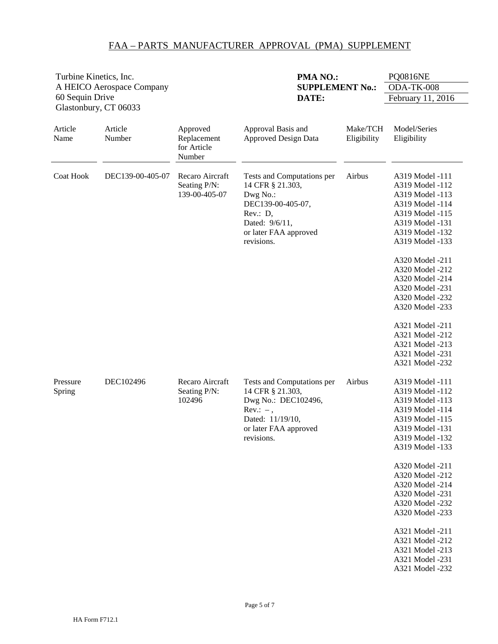| Turbine Kinetics, Inc.           |                           |                                                  | PMA NO.:                                                                                                                                             |                         | <b>PQ0816NE</b>                                                                                                                                                                                                                                                                                                                                                       |
|----------------------------------|---------------------------|--------------------------------------------------|------------------------------------------------------------------------------------------------------------------------------------------------------|-------------------------|-----------------------------------------------------------------------------------------------------------------------------------------------------------------------------------------------------------------------------------------------------------------------------------------------------------------------------------------------------------------------|
|                                  | A HEICO Aerospace Company |                                                  | <b>SUPPLEMENT No.:</b>                                                                                                                               |                         | ODA-TK-008                                                                                                                                                                                                                                                                                                                                                            |
| 60 Sequin Drive                  |                           |                                                  | DATE:                                                                                                                                                |                         | February 11, 2016                                                                                                                                                                                                                                                                                                                                                     |
| Glastonbury, CT 06033<br>Article | Article                   |                                                  |                                                                                                                                                      |                         | Model/Series                                                                                                                                                                                                                                                                                                                                                          |
| Name                             | Number                    | Approved<br>Replacement<br>for Article<br>Number | Approval Basis and<br><b>Approved Design Data</b>                                                                                                    | Make/TCH<br>Eligibility | Eligibility                                                                                                                                                                                                                                                                                                                                                           |
| <b>Coat Hook</b>                 | DEC139-00-405-07          | Recaro Aircraft<br>Seating P/N:<br>139-00-405-07 | Tests and Computations per<br>14 CFR § 21.303,<br>Dwg No.:<br>DEC139-00-405-07,<br>Rev.: D,<br>Dated: 9/6/11,<br>or later FAA approved<br>revisions. | Airbus                  | A319 Model -111<br>A319 Model -112<br>A319 Model -113<br>A319 Model -114<br>A319 Model -115<br>A319 Model -131<br>A319 Model -132<br>A319 Model -133<br>A320 Model -211<br>A320 Model -212<br>A320 Model -214<br>A320 Model -231<br>A320 Model -232<br>A320 Model -233<br>A321 Model -211<br>A321 Model -212<br>A321 Model -213<br>A321 Model -231<br>A321 Model -232 |
| Pressure<br>Spring               | DEC102496                 | Recaro Aircraft<br>Seating P/N:<br>102496        | Tests and Computations per<br>14 CFR § 21.303,<br>Dwg No.: DEC102496,<br>$Rev.: -$ ,<br>Dated: 11/19/10,<br>or later FAA approved<br>revisions.      | Airbus                  | A319 Model -111<br>A319 Model -112<br>A319 Model -113<br>A319 Model -114<br>A319 Model -115<br>A319 Model -131<br>A319 Model -132<br>A319 Model -133<br>A320 Model -211<br>A320 Model -212<br>A320 Model -214<br>A320 Model -231<br>A320 Model -232<br>A320 Model -233<br>A321 Model -211<br>A321 Model -212<br>A321 Model -213<br>A321 Model -231<br>A321 Model -232 |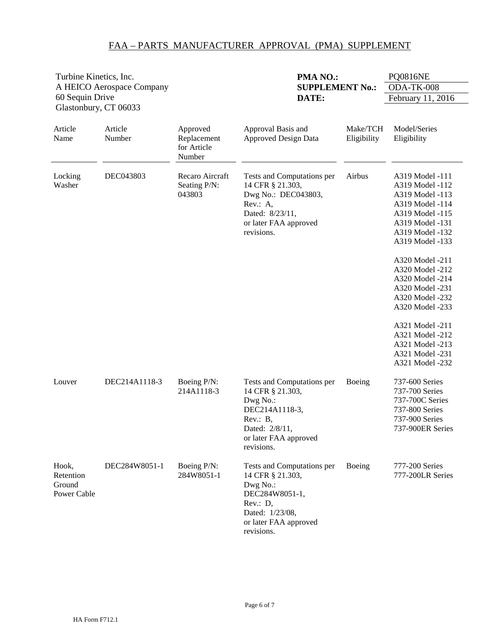|                                             | Turbine Kinetics, Inc.    |                                                  | PMA NO.:                                                                                                                                           |                         | <b>PQ0816NE</b>                                                                                                                                                                                                                                                                                                                                                       |  |
|---------------------------------------------|---------------------------|--------------------------------------------------|----------------------------------------------------------------------------------------------------------------------------------------------------|-------------------------|-----------------------------------------------------------------------------------------------------------------------------------------------------------------------------------------------------------------------------------------------------------------------------------------------------------------------------------------------------------------------|--|
|                                             | A HEICO Aerospace Company |                                                  | <b>SUPPLEMENT No.:</b>                                                                                                                             |                         | ODA-TK-008                                                                                                                                                                                                                                                                                                                                                            |  |
| 60 Sequin Drive<br>Glastonbury, CT 06033    |                           |                                                  | DATE:                                                                                                                                              |                         | February 11, 2016                                                                                                                                                                                                                                                                                                                                                     |  |
| Article<br>Name                             | Article<br>Number         | Approved<br>Replacement<br>for Article<br>Number | Approval Basis and<br><b>Approved Design Data</b>                                                                                                  | Make/TCH<br>Eligibility | Model/Series<br>Eligibility                                                                                                                                                                                                                                                                                                                                           |  |
| Locking<br>Washer                           | DEC043803                 | Recaro Aircraft<br>Seating P/N:<br>043803        | Tests and Computations per<br>14 CFR § 21.303,<br>Dwg No.: DEC043803,<br>Rev.: A,<br>Dated: 8/23/11,<br>or later FAA approved<br>revisions.        | Airbus                  | A319 Model -111<br>A319 Model -112<br>A319 Model -113<br>A319 Model -114<br>A319 Model -115<br>A319 Model -131<br>A319 Model -132<br>A319 Model -133<br>A320 Model -211<br>A320 Model -212<br>A320 Model -214<br>A320 Model -231<br>A320 Model -232<br>A320 Model -233<br>A321 Model -211<br>A321 Model -212<br>A321 Model -213<br>A321 Model -231<br>A321 Model -232 |  |
| Louver                                      | DEC214A1118-3             | Boeing P/N:<br>214A1118-3                        | Tests and Computations per<br>14 CFR § 21.303,<br>Dwg No.:<br>DEC214A1118-3,<br>Rev.: B,<br>Dated: 2/8/11,<br>or later FAA approved<br>revisions.  | Boeing                  | 737-600 Series<br>737-700 Series<br>737-700C Series<br>737-800 Series<br>737-900 Series<br>737-900ER Series                                                                                                                                                                                                                                                           |  |
| Hook,<br>Retention<br>Ground<br>Power Cable | DEC284W8051-1             | Boeing P/N:<br>284W8051-1                        | Tests and Computations per<br>14 CFR § 21.303,<br>Dwg No.:<br>DEC284W8051-1,<br>Rev.: D,<br>Dated: 1/23/08,<br>or later FAA approved<br>revisions. | Boeing                  | 777-200 Series<br>777-200LR Series                                                                                                                                                                                                                                                                                                                                    |  |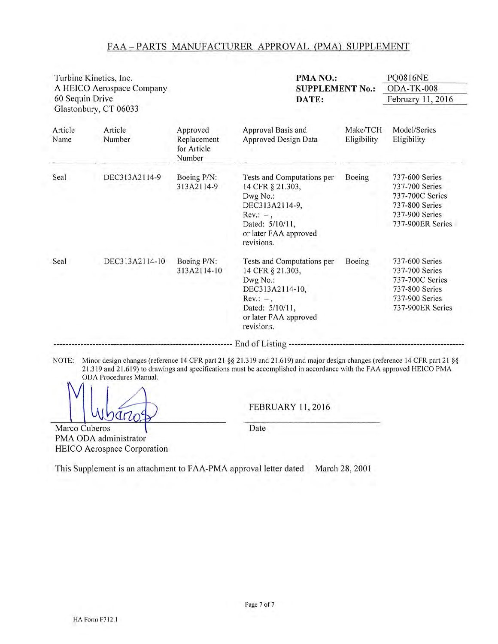|                 | Turbine Kinetics, Inc.<br>A HEICO Aerospace Company |                                                  | PMA NO.:<br><b>SUPPLEMENT No.:</b>                                                                                                                     |                         | <b>PQ0816NE</b><br>ODA-TK-008                                                                               |
|-----------------|-----------------------------------------------------|--------------------------------------------------|--------------------------------------------------------------------------------------------------------------------------------------------------------|-------------------------|-------------------------------------------------------------------------------------------------------------|
| 60 Sequin Drive | Glastonbury, CT 06033                               |                                                  | DATE:                                                                                                                                                  |                         | February 11, 2016                                                                                           |
| Article<br>Name | Article<br>Number                                   | Approved<br>Replacement<br>for Article<br>Number | Approval Basis and<br><b>Approved Design Data</b>                                                                                                      | Make/TCH<br>Eligibility | Model/Series<br>Eligibility                                                                                 |
| Seal            | DEC313A2114-9                                       | Boeing P/N:<br>313A2114-9                        | Tests and Computations per<br>14 CFR § 21.303,<br>Dwg No.:<br>DEC313A2114-9,<br>$Rev.: -$ ,<br>Dated: 5/10/11,<br>or later FAA approved<br>revisions.  | Boeing                  | 737-600 Series<br>737-700 Series<br>737-700C Series<br>737-800 Series<br>737-900 Series<br>737-900ER Series |
| Seal            | DEC313A2114-10                                      | Boeing P/N:<br>313A2114-10                       | Tests and Computations per<br>14 CFR § 21.303,<br>Dwg No.:<br>DEC313A2114-10,<br>$Rev.: -$ ,<br>Dated: 5/10/11,<br>or later FAA approved<br>revisions. | Boeing                  | 737-600 Series<br>737-700 Series<br>737-700C Series<br>737-800 Series<br>737-900 Series<br>737-900ER Series |
| NOTE:           |                                                     |                                                  | Minor design changes (reference 14 CFR part 21 §§ 21.319 and 21.619) and major design changes (reference 14 CFR part 21 §§                             |                         |                                                                                                             |

 $470$ Marco Cuberos

PMA ODA administrator

**FEBRUARY 11, 2016** 

Date

HEICO Aerospace Corporation This Supplement is an attachment to FAA-PMA approval letter dated March 28, 2001